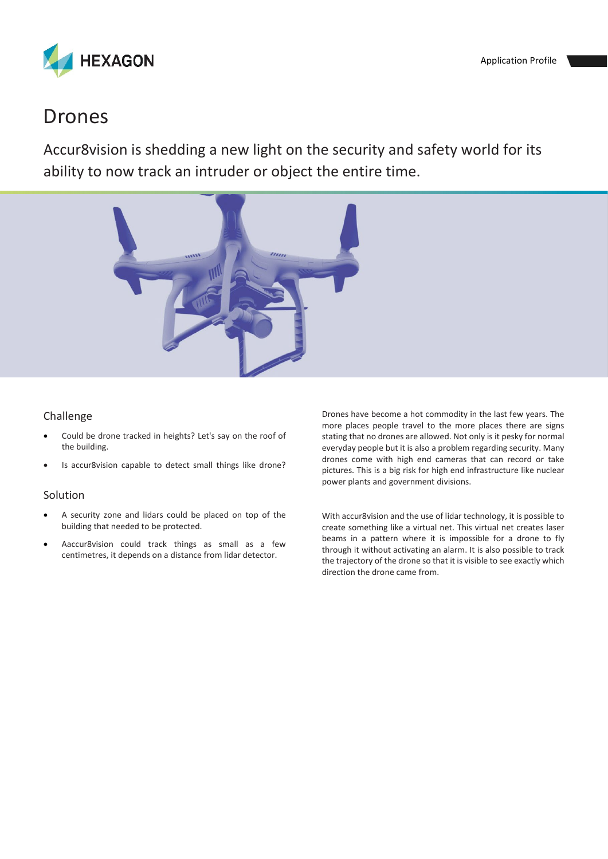

## Drones

Accur8vision is shedding a new light on the security and safety world for its ability to now track an intruder or object the entire time.



## Challenge

- Could be drone tracked in heights? Let's say on the roof of the building.
- Is accur8vision capable to detect small things like drone?

## Solution

- A security zone and lidars could be placed on top of the building that needed to be protected.
- Aaccur8vision could track things as small as a few centimetres, it depends on a distance from lidar detector.

Drones have become a hot commodity in the last few years. The more places people travel to the more places there are signs stating that no drones are allowed. Not only is it pesky for normal everyday people but it is also a problem regarding security. Many drones come with high end cameras that can record or take pictures. This is a big risk for high end infrastructure like nuclear power plants and government divisions.

With accur8vision and the use of lidar technology, it is possible to create something like a virtual net. This virtual net creates laser beams in a pattern where it is impossible for a drone to fly through it without activating an alarm. It is also possible to track the trajectory of the drone so that it is visible to see exactly which direction the drone came from.